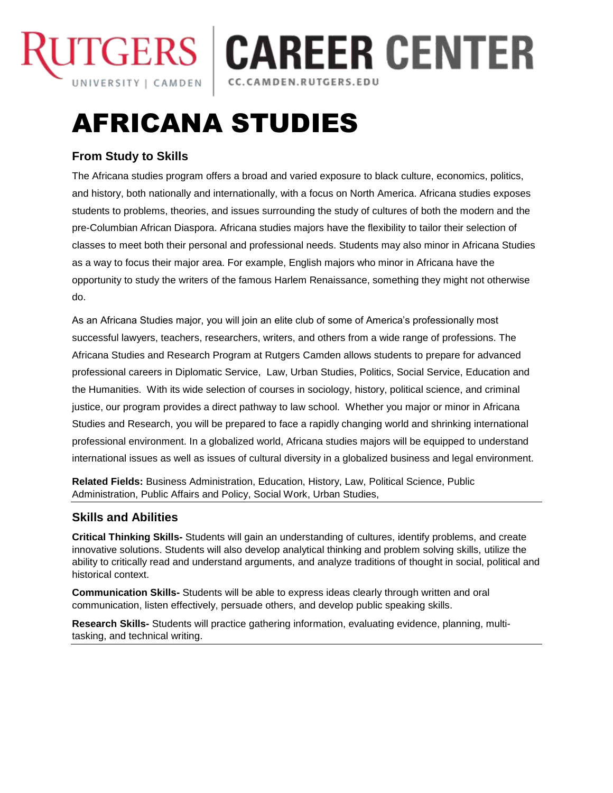

# **ITGERS | CAREER CENTER** CC.CAMDEN.RUTGERS.EDU

# AFRICANA STUDIES

## **From Study to Skills**

The Africana studies program offers a broad and varied exposure to black culture, economics, politics, and history, both nationally and internationally, with a focus on North America. Africana studies exposes students to problems, theories, and issues surrounding the study of cultures of both the modern and the pre-Columbian African Diaspora. Africana studies majors have the flexibility to tailor their selection of classes to meet both their personal and professional needs. Students may also minor in Africana Studies as a way to focus their major area. For example, English majors who minor in Africana have the opportunity to study the writers of the famous Harlem Renaissance, something they might not otherwise do.

As an Africana Studies major, you will join an elite club of some of America's professionally most successful lawyers, teachers, researchers, writers, and others from a wide range of professions. The Africana Studies and Research Program at Rutgers Camden allows students to prepare for advanced professional careers in Diplomatic Service, Law, Urban Studies, Politics, Social Service, Education and the Humanities. With its wide selection of courses in sociology, history, political science, and criminal justice, our program provides a direct pathway to law school. Whether you major or minor in Africana Studies and Research, you will be prepared to face a rapidly changing world and shrinking international professional environment. In a globalized world, Africana studies majors will be equipped to understand international issues as well as issues of cultural diversity in a globalized business and legal environment.

**Related Fields:** Business Administration, Education, History, Law, Political Science, Public Administration, Public Affairs and Policy, Social Work, Urban Studies,

#### **Skills and Abilities**

**Critical Thinking Skills-** Students will gain an understanding of cultures, identify problems, and create innovative solutions. Students will also develop analytical thinking and problem solving skills, utilize the ability to critically read and understand arguments, and analyze traditions of thought in social, political and historical context.

**Communication Skills-** Students will be able to express ideas clearly through written and oral communication, listen effectively, persuade others, and develop public speaking skills.

**Research Skills-** Students will practice gathering information, evaluating evidence, planning, multitasking, and technical writing.